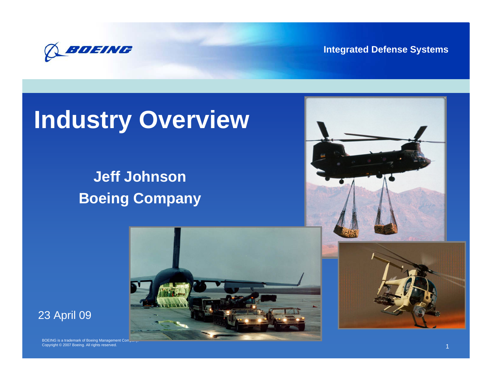

**Integrated Defense Systems**

# **Industry Overview**

### **Jeff Johnson Boeing Company**





BOEING is a trademark of Boeing Management Company. Copyright © 2007 Boeing. All rights reserved. 1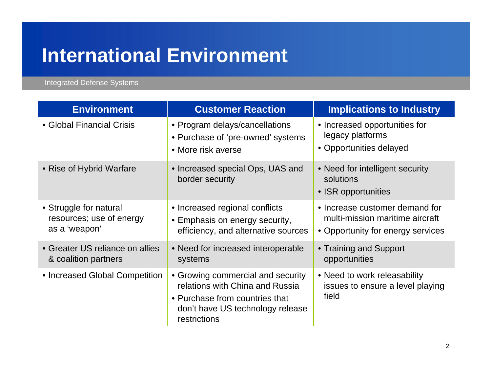# **International Environment**

Integrated Defense Systems

| <b>Environment</b>                                                  | <b>Customer Reaction</b>                                                                                                                                   | <b>Implications to Industry</b>                                                                        |
|---------------------------------------------------------------------|------------------------------------------------------------------------------------------------------------------------------------------------------------|--------------------------------------------------------------------------------------------------------|
| • Global Financial Crisis                                           | • Program delays/cancellations<br>• Purchase of 'pre-owned' systems<br>• More risk averse                                                                  | • Increased opportunities for<br>legacy platforms<br>• Opportunities delayed                           |
| • Rise of Hybrid Warfare                                            | • Increased special Ops, UAS and<br>border security                                                                                                        | • Need for intelligent security<br>solutions<br>• ISR opportunities                                    |
| • Struggle for natural<br>resources; use of energy<br>as a 'weapon' | • Increased regional conflicts<br>• Emphasis on energy security,<br>efficiency, and alternative sources                                                    | • Increase customer demand for<br>multi-mission maritime aircraft<br>• Opportunity for energy services |
| • Greater US reliance on allies<br>& coalition partners             | • Need for increased interoperable<br>systems                                                                                                              | • Training and Support<br>opportunities                                                                |
| • Increased Global Competition                                      | • Growing commercial and security<br>relations with China and Russia<br>• Purchase from countries that<br>don't have US technology release<br>restrictions | • Need to work releasability<br>issues to ensure a level playing<br>field                              |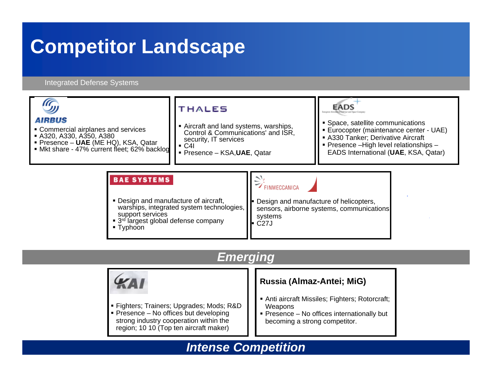# **Competitor Landscape**

#### Integrated Defense Systems



### *Emerging*

![](_page_2_Picture_4.jpeg)

### *Intense Competition*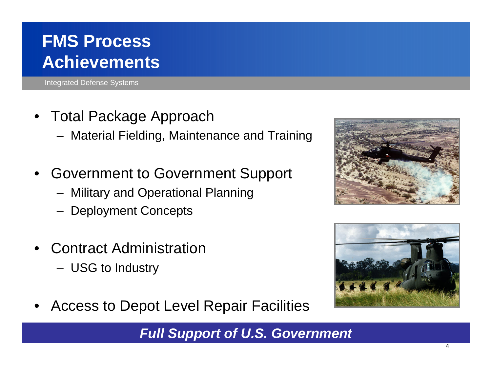## **FMS Process Achievements**

Integrated Defense Systems

- Total Package Approach
	- Material Fielding, Maintenance and Training
- Government to Government Support
	- Military and Operational Planning
	- Deployment Concepts
- Contract Administration
	- USG to Industry
- Access to Depot Level Repair Facilities

*Full Support of U.S. Government* 

![](_page_3_Picture_11.jpeg)

![](_page_3_Picture_12.jpeg)

![](_page_3_Picture_13.jpeg)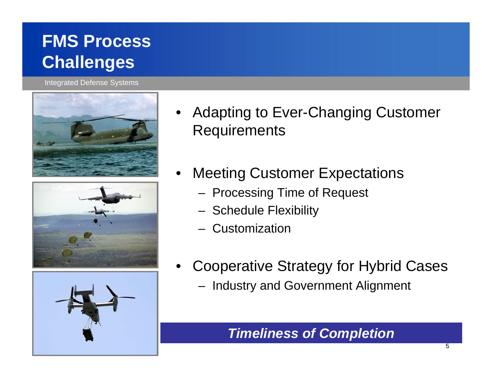## **FMS Process Challenges**

Integrated Defense Systems

![](_page_4_Picture_2.jpeg)

![](_page_4_Picture_3.jpeg)

![](_page_4_Picture_4.jpeg)

- Adapting to Ever-Changing Customer **Requirements**
- **Meeting Customer Expectations** 
	- Processing Time of Request
	- Schedule Flexibility
	- Customization
- Cooperative Strategy for Hybrid Cases
	- Industry and Government Alignment

### *Timeliness of Completion*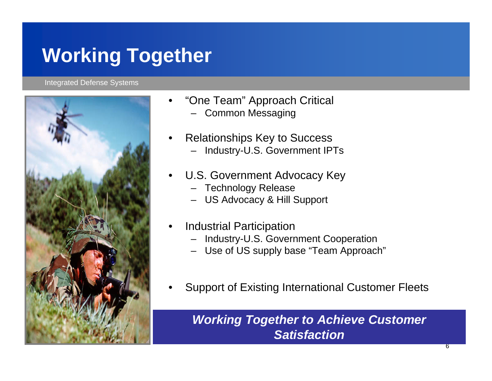# **Working Together**

#### Integrated Defense Systems

![](_page_5_Picture_2.jpeg)

- "One Team" Approach Critical
	- Common Messaging
- Relationships Key to Success
	- Industry-U.S. Government IPTs
- U.S. Government Advocacy Key
	- Technology Release
	- US Advocacy & Hill Support
- Industrial Participation
	- Industry-U.S. Government Cooperation
	- Use of US supply base "Team Approach"
- Support of Existing International Customer Fleets

*Working Together to Achieve Customer Satisfaction*